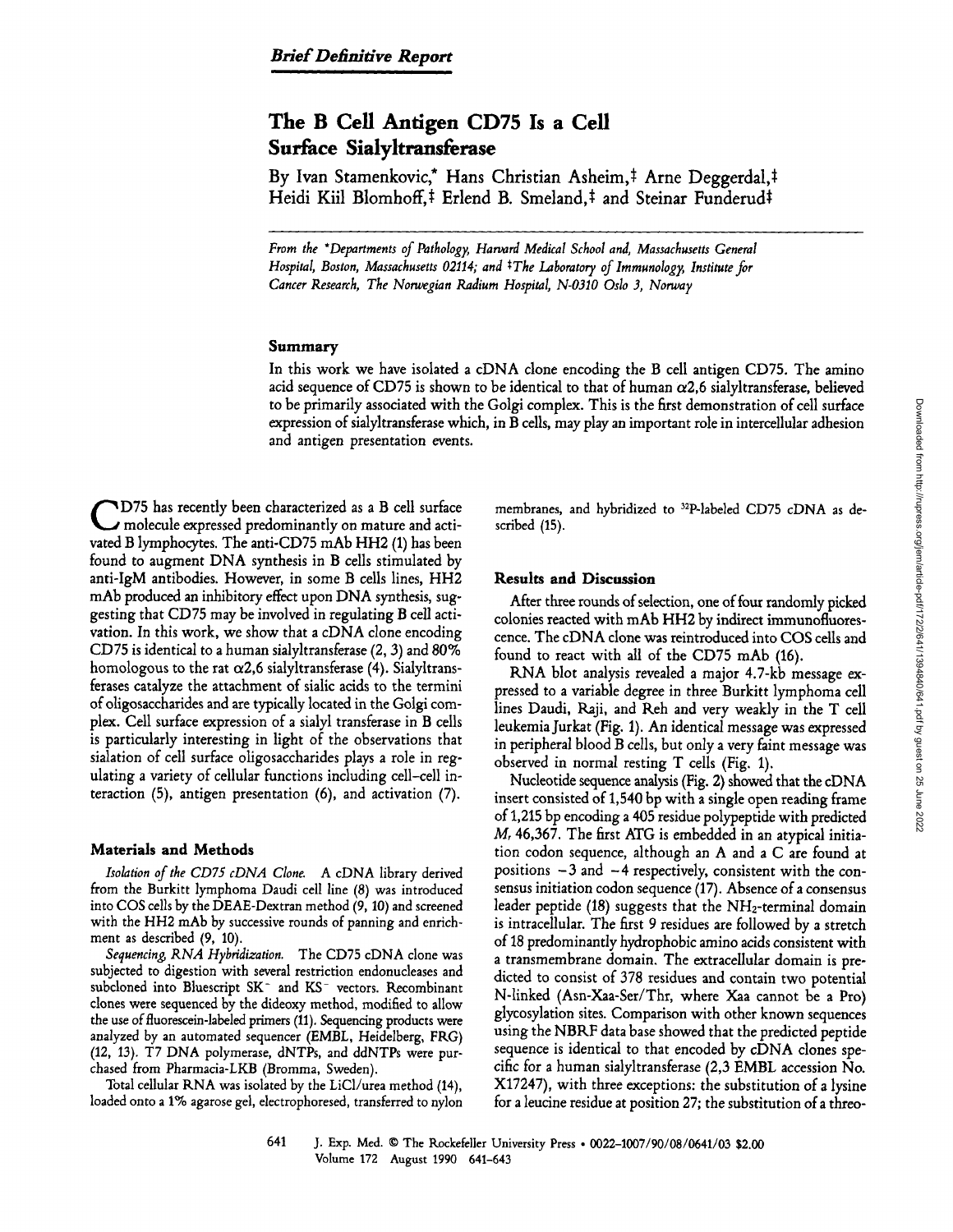# The B Cell Antigen CD75 Is <sup>a</sup> Cell Surface Sialyltransferase

By Ivan Stamenkovic,\* Hans Christian Asheim,<sup>‡</sup> Arne Deggerdal,‡ Heidi Kiil Blomhoff,<sup>‡</sup> Erlend B. Smeland,<sup>‡</sup> and Steinar Funderud‡

From the "Departments of Pathology, Hanard Medical School and, Massachusetts General Hospital, Boston, Massachusetts 02114; and <sup>‡</sup>The Laboratory of Immunology, Institute for Cancer Research, The Norwegian Radium Hospital, N-0310 Oslo 3, Norway

# Summary

In this work we have isolated <sup>a</sup> cDNA clone encoding the B cell antigen CD75. The amino acid sequence of CD75 is shown to be identical to that of human  $\alpha$ 2,6 sialyltransferase, believed to be primarily associated with the Golgi complex. This is the first demonstration ofcell surface expression of sialyltransferase which, in B cells, may play an important role in intercellular adhesion and antigen presentation events.

C vated B lymphocytes. The anti-CD75 mAb HH2 (1) has been D75 has recently been characterized as <sup>a</sup> B cell surface molecule expressed predominantly on mature and actifound to augment DNA synthesis in B cells stimulated by anti-IgM antibodies. However, in some B cells lines, HH2 mAb produced an inhibitory effect upon DNA synthesis, suggesting that CD75 may be involved in regulating B cell activation. In this work, we show that a cDNA clone encoding CD75 is identical to <sup>a</sup> human sialyltransferase (2, 3) and 80% homologous to the rat  $\alpha$ 2,6 sialyltransferase (4). Sialyltransferases catalyze the attachment of sialic acids to the termini of oligosaccharides and are typically located in the Golgi complex. Cell surface expression of <sup>a</sup> sialyl transferase in B cells is particularly interesting in light of the observations that sialation of cell surface oligosaccharides plays a role in regulating a variety of cellular functions including cell-cell interaction (5), antigen presentation (6), and activation (7).

## Materials and Methods

Isolation of the CD75 cDNA Clone. A cDNA library derived from the Burkitt lymphoma Daudi cell line (8) was introduced into COS cells by the DEAF-Dextran method (9, 10) and screened with the HH2 mAb by successive rounds of panning and enrichment as described (9, 10).

Sequencing, RNA Hybridization. The CD75 cDNA clone was subjected to digestion with several restriction endonucleases and subcloned into Bluescript SK<sup>-</sup> and KS<sup>-</sup> vectors. Recombinant clones were sequenced by the dideoxy method, modified to allow the use of fluorescein-labeled primers (11). Sequencing products were analyzed by an automated sequencer (EMBL, Heidelberg, FRG) (12, 13). T7 DNA polymerase, dNTPs, and ddNTPs were purchased from Pharmacia-LKB (Bromma, Sweden) .

Total cellular RNA was isolated by the LiCl/urea method (14), loaded onto <sup>a</sup> 1% agarose gel, electrophoresed, transferred to nylon membranes, and hybridized to <sup>32</sup>P-labeled CD75 cDNA as described (15).

#### Results and Discussion

After three rounds of selection, one of four randomly picked colonies reacted with mAb HH2 by indirect immunofluorescence. The cDNA clone was reintroduced into COS cells and found to react with all of the CD75 mAb (16).

RNA blot analysis revealed <sup>a</sup> major 4.7-kb message expressed to <sup>a</sup> variable degree in three Burkitt lymphoma cell lines Daudi, Raji, and Reh and very weakly in the T cell leukemia Jurkat (Fig. 1) . An identical message was expressed in peripheral blood B cells, but only <sup>a</sup> very faint message was observed in normal resting T cells (Fig. 1) .

Nucleotide sequence analysis (Fig. 2) showed that the cDNA insert consisted of 1,540 by with a single open reading frame of 1,215 by encoding <sup>a</sup> 405 residue polypeptide with predicted M, 46,367. The first ATG is embedded in an atypical initiation codon sequence, although an A and <sup>a</sup> C are found at positions  $-3$  and  $-4$  respectively, consistent with the consensus initiation codon sequence (17). Absence of a consensus leader peptide  $(18)$  suggests that the NH<sub>2</sub>-terminal domain is intracellular. The first 9 residues are followed by a stretch of 18 predominantly hydrophobic amino acids consistent with a transmembrane domain. The extracellular domain is predicted to consist of 378 residues and contain two potential Winked (Asn-Xaa-Ser/Thr, where Xaa cannot be <sup>a</sup> Pro) glycosylation sites. Comparison with other known sequences using the NBRF data base showed that the predicted peptide sequence is identical to that encoded by cDNA clones specific for <sup>a</sup> human sialyltransferase (2,3 EMBL accession No. X17247), with three exceptions: the substitution of <sup>a</sup> lysine for a leucine residue at position 27; the substitution of a threo-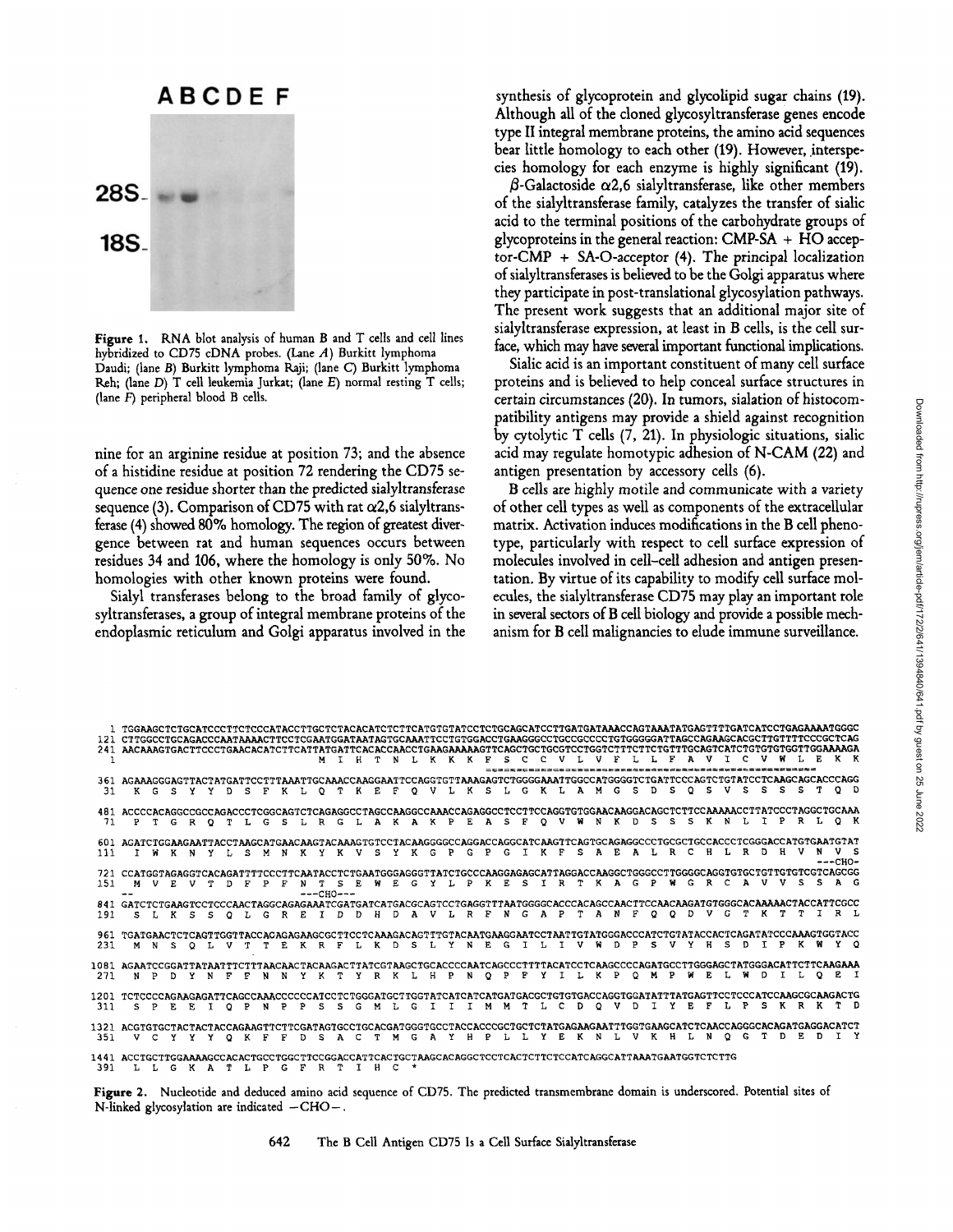# **ABCDEF**



Figure 1. RNA blot analysis of human B and T cells and cell lines hybridized to CD75 cDNA probes. (Lane  $A$ ) Burkitt lymphoma Daudi; (lane B) Burkitt lymphoma Raji; (lane C) Burkitt lymphoma Reh; (lane  $D$ ) T cell leukemia Jurkat; (lane  $E$ ) normal resting T cells; (lane  $F$ ) peripheral blood  $B$  cells.

nine for an arginine residue at position 73; and the absence of <sup>a</sup> histidine residue at position 72 rendering the CD75 sequence one residue shorter than the predicted sialyltransferase sequence (3). Comparison of CD75 with rat  $\alpha$ 2,6 sialyltransferase (4) showed 80% homology. The region of greatest divergence between rat and human sequences occurs between residues <sup>34</sup> and 106, where the homology is only 50%. No homologies with other known proteins were found.

Sialyl transferases belong to the broad family of glycosyltransferases, a group of integral membrane proteins of the endoplasmic reticulum and Golgi apparatus involved in the

synthesis of glycoprotein and glycolipid sugar chains (19). Although all of the cloned glycosyltransferase genes encode type II integral membrane proteins, the amino acid sequences bear little homology to each other (19) . However, interspecies homology for each enzyme is highly significant (19) .

 $\beta$ -Galactoside  $\alpha$ 2,6 sialyltransferase, like other members of the sialyltransferase family, catalyzes the transfer of sialic acid to the terminal positions of the carbohydrate groups of glycoproteins in the general reaction:  $CMP-SA + HO$  acceptor-CMP + SA-O-acceptor  $(4)$ . The principal localization of sialyltransferases is believed to be the Golgi apparatus where they participate in post-translational glycosylation pathways. The present work suggests that an additional major site of sialyltransferase expression, at least in B cells, is the cell surface, which may have several important functional implications.

Sialic acid is an important constituent of many cell surface proteins and is believed to help conceal surface structures in certain circumstances (20) . In tumors, sialation of histocompatibility antigens may provide a shield against recognition by cytolytic T cells (7, 21) . In physiologic situations, sialic acid may regulate homotypic adhesion of N-CAM (22) and antigen presentation by accessory cells (6).

B cells are highly motile and communicate with <sup>a</sup> variety o£ other cell types as well as components of the extracellular matrix. Activation induces modifications in the B cell phenotype, particularly with respect to cell surface expression of molecules involved in cell-cell adhesion and antigen presentation. By virtue of its capability to modify cell surface molecules, the sialyltransferase CD75 may play an important role in several sectors of B cell biology and provide a possible mechanism for B cell malignancies to elude immune surveillance.

|            | 1 TGGAAGCTCTGCATCCCTTCTCCCATACCTTGCTCTACACATCTCTTCATGTGTATCCTCTGCAGCATCCTTGATGATAAACCAGTAAATATGAGTTTTGATCATCCTGAGAAAATGGGC<br>121 CTTGGCCTGCAGACCCAATAAAACTTCCTCGAATGGATAATAGTGCAAATTCCTGTGGACCTGAAGGGCCTGCCGCCCTTGTGGGGATTAGCCAGAAGCACGCTTGTTTTCCCGCTCAG |              |     |              |            |              |      |              |                |     | M           | TH  |              | T. |                | <b>NLKKK</b>  |   |     |   |         | s            | $\mathbf{C}$ |          |              |    |         |    |              |         |         |         |      |     |      |     |      |    |    |                  |  |
|------------|-----------------------------------------------------------------------------------------------------------------------------------------------------------------------------------------------------------------------------------------------------------|--------------|-----|--------------|------------|--------------|------|--------------|----------------|-----|-------------|-----|--------------|----|----------------|---------------|---|-----|---|---------|--------------|--------------|----------|--------------|----|---------|----|--------------|---------|---------|---------|------|-----|------|-----|------|----|----|------------------|--|
| 31         | 361 AGAAAGGGAGTTACTATGATTCCTTTAAATTGCAAACCAAGGAATTCCAGGTGTTAAAGAGTCTGGGGAAATTGGCCATGGGGTCTGATTCCCAGTCTGTATCCTCAAGCAGCACCCAGG                                                                                                                              | K G          | - S | <b>Y</b>     | Y.         | $\mathbf{D}$ | -S   | - F          |                | K L | $O_T$       |     | KE           |    | -F             | OVLKSLGKLAMG  |   |     |   |         |              |              |          |              |    |         |    | s            | D.      | s       | $\circ$ | s.   | v   |      | - S | s    |    |    | o p              |  |
| 71         | 481 ACCCCACAGGCCGCCAGACCCTCGGCAGTCTCAGAGGCCTAGCCCAAGGCCAAACCAGAGGCCTCCTTCCAGGTGTGGAACAAGGACAGCTCTTCCAAAAACCTTATCCCTAGGCTGCAAA<br>P                                                                                                                        |              | G   | R            | $^{\circ}$ | T            |      | G            | - S            |     |             | R G | L            | A  |                | KAKP          |   |     | E | A       | s            | F            | $\Omega$ | v            | w  | N       | к  | D.           | s       | s       | s       | к    | N   |      |     | P    | R. |    | O K              |  |
| 111        | 601 AGATCTGGAAGAATTACCTAAGCATGAACAAGTACAAAGTGTCCTACAAGGGGCCAGGACCAGGCATCAAGTTCAGTGCAGAGGCCCTGCGCTGCCACCCTCGGGACCATGTGAATGTAT                                                                                                                              |              |     | I WK N       |            | YU.          | -S   | M            | N              |     | <b>KYKV</b> |     |              | s  |                | Y K G         |   | P   | G | P       | G            | T            | к        | F            | s. | A       | E  | A            | т.      | R       | c       | - 11 |     | LRD. |     | . н. |    |    | v s<br>$---CHO-$ |  |
| 151        | 721 CCATGGTAGAGGTCACAGATTTTCCCTTCAATACCTCTGAATGGGAGGGTTATCTGCCCAAGGAGAGATTAGGACCAAGGCTGGGCCTTGGGGCAGGTGTGCTGTTGTGTCGTCAGCGG<br>м                                                                                                                          | v            | E.  | v            |            | D.           | F    | P            | F              | N   | $---CHO---$ | -S. | F.           | W  | E              | G             | Y | п.  | P | к       | E            | s.           | T        | $\mathbf{R}$ | T. | K       | A  | G.           | P       | w       | G       | R    | C   | A    | v   | v    | s  | s  | AG               |  |
| 191        | 841 GATCTCTGAAGTCCTCCCAACTAGGCAGAGAAATCGATGATGATGAGGCAGTCCTGAGGTTTAATGGGGCACCCACAGCCAACTTCCAACAAGATGTGGGCACAAAAACTACCATTCGCC<br>s                                                                                                                         | л.           |     | K S          | s          | $\circ$      | . т. | G            | $\mathbf{R}$   | E T |             | Ð   | D.           | н  |                | D A V L R F N |   |     |   |         |              | G            | A P      |              | T. | A       | N  | <b>F</b>     | $\circ$ | $\circ$ | D       |      | G   | T    | к   |      |    |    | $R$ L            |  |
| 961<br>231 | TGATGAACTCTCAGTTGGTTACCACAGAGAAGCGCTTCCTCAAAGACAGTTTGTACAATGAAGGAATCCTAATTGTATGGGACCCATCTGTATACCACTCAGATATCCCAAAGTGGTACC<br>м                                                                                                                             | N            | s.  | $\circ$      | Т.         | v            | T.   | T.           | F <sub>c</sub> |     | KRF         |     | $T_{\rm{c}}$ | K  | D <sub>S</sub> |               |   | LY. |   | N E G   |              | $\mathbf{T}$ | L.       | T            | v  | w       | n. | P            | s       | v       | Y       | н    | -S. | n    | T   | P    |    |    | Y O              |  |
| 271        | 1081 AGAATCCGGATTATAATTTCTTTAACAACTACAAGACTTATCGTAAGCTGCACCCCAATCAGCCCTTTTACATCCTCAAGCCCCAGATGCCTTGGGAGCTATGGGACATTCTTCAAGAAA<br>N                                                                                                                        | P            | D.  | Y            |            | F            | F    | N            | N              |     | Y K T       |     |              |    |                | YRKLH         |   | P   | N | $\circ$ | $\mathbf{P}$ | F            | Y.       | $\mathsf{T}$ | Ι. | K       | P  | $\circ$      | м       | Р       | W       | Е.   |     |      | D.  |      |    | O. | R T              |  |
| 311        | 1201 TCTCCCCAGAAGAGATTCAGCCAAACCCCCCATCCTCTGGGATGCTTGGTATCATCATGATGACGCTGTGTGACCAGGTGGATATTTATGAGTTCCTCCCATCCAAGCGCAAGACTG<br>s.                                                                                                                          | $\mathbf{P}$ | Е.  | F.           | T.         | $\Omega$     | P    | N            | P              | P   | s           | s   | G            | м  |                | G.            | T | T   |   |         | M M T        |              | L        | c            | D. | $\circ$ | v  | <sup>n</sup> | т.      | Y       | E.      | F    | т.  | P    | s.  | KR   |    | к  | ת יד             |  |
| 351        | 1321 ACGTGTGCTACTACTACCAGAAGTTCTTCGATAGTGCCTGCACGATGGGTGCCTACCACCCGCTGCTCTATGAGAAGTATTTGGTGAAGCATCTCAACCAGGGCACAGATGAGGACATCT<br>v                                                                                                                        | $\mathbf{C}$ | Y   |              | Y          | $\circ$      | к    | F            | F              | D.  | s           | A   | C            | T  | м              | G             | A | Y   | н | P       | L.           | L.           | Y.       | E.           |    | N       | т. | v            | к       | н       | τ.      | N    | o   |      |     |      |    | n  | T Y              |  |
| 391        |                                                                                                                                                                                                                                                           | т.           | G   | $\mathbf{K}$ | A          |              | T L  | $\mathbf{P}$ | G              | F   | R           | T   | $\mathbf{T}$ | н  | c              |               |   |     |   |         |              |              |          |              |    |         |    |              |         |         |         |      |     |      |     |      |    |    |                  |  |

Figure 2. Nucleotide and deduced amino acid sequence of CD75. The predicted transmembrane domain is underscored. Potential sites of N-linked glycosylation are indicated  $-CHO-$ .